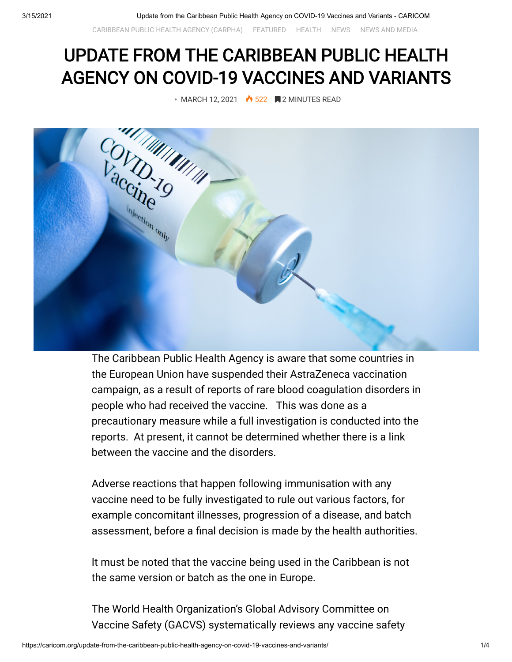[CARIBBEAN PUBLIC HEALTH AGENCY \(CARPHA\)](https://caricom.org/category/caribbean-public-health-agency-carpha/) [FEATURED](https://caricom.org/category/featured/) [HEALTH](https://caricom.org/category/areas-of-work/health/) [NEWS](https://caricom.org/category/news/) [NEWS AND MEDIA](https://caricom.org/category/news-and-media/)

## UPDATE FROM THE CARIBBEAN PUBLIC HEALTH AGENCY ON COVID-19 VACCINES AND VARIANTS



The Caribbean Public Health Agency is aware that some countries in the European Union have suspended their AstraZeneca vaccination campaign, as a result of reports of rare blood coagulation disorders in people who had received the vaccine. This was done as a precautionary measure while a full investigation is conducted into the reports. At present, it cannot be determined whether there is a link between the vaccine and the disorders.

Adverse reactions that happen following immunisation with any vaccine need to be fully investigated to rule out various factors, for example concomitant illnesses, progression of a disease, and batch assessment, before a final decision is made by the health authorities.

It must be noted that the vaccine being used in the Caribbean is not the same version or batch as the one in Europe.

The World Health Organization's Global Advisory Committee on Vaccine Safety (GACVS) systematically reviews any vaccine safety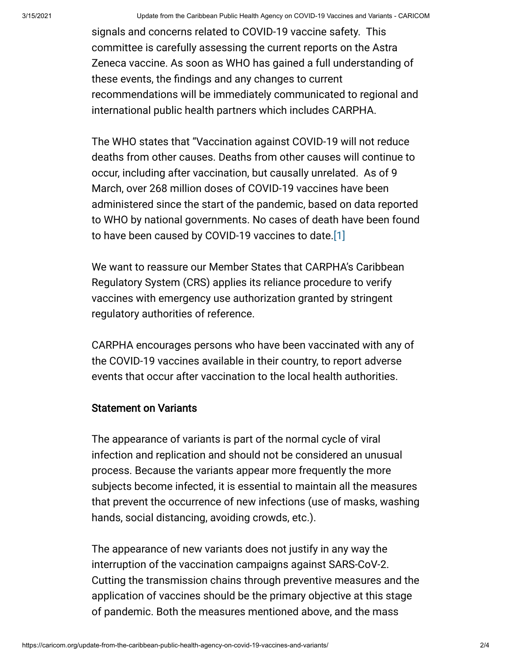signals and concerns related to COVID-19 vaccine safety. This committee is carefully assessing the current reports on the Astra Zeneca vaccine. As soon as WHO has gained a full understanding of these events, the findings and any changes to current recommendations will be immediately communicated to regional and international public health partners which includes CARPHA.

The WHO states that "Vaccination against COVID-19 will not reduce deaths from other causes. Deaths from other causes will continue to occur, including after vaccination, but causally unrelated. As of 9 March, over 268 million doses of COVID-19 vaccines have been administered since the start of the pandemic, based on data reported to WHO by national governments. No cases of death have been found to have been caused by COVID-19 vaccines to date.[1]

We want to reassure our Member States that CARPHA's Caribbean Regulatory System (CRS) applies its reliance procedure to verify vaccines with emergency use authorization granted by stringent regulatory authorities of reference.

CARPHA encourages persons who have been vaccinated with any of the COVID-19 vaccines available in their country, to report adverse events that occur after vaccination to the local health authorities.

## Statement on Variants

The appearance of variants is part of the normal cycle of viral infection and replication and should not be considered an unusual process. Because the variants appear more frequently the more subjects become infected, it is essential to maintain all the measures that prevent the occurrence of new infections (use of masks, washing hands, social distancing, avoiding crowds, etc.).

The appearance of new variants does not justify in any way the interruption of the vaccination campaigns against SARS-CoV-2. Cutting the transmission chains through preventive measures and the application of vaccines should be the primary objective at this stage of pandemic. Both the measures mentioned above, and the mass